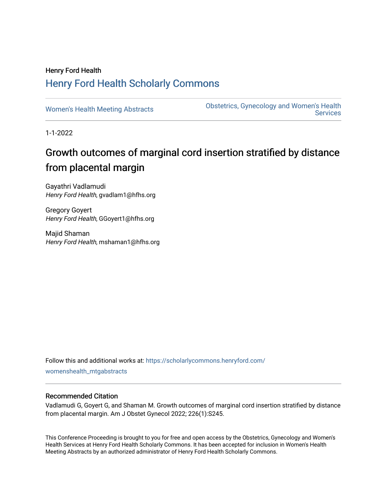## Henry Ford Health [Henry Ford Health Scholarly Commons](https://scholarlycommons.henryford.com/)

[Women's Health Meeting Abstracts](https://scholarlycommons.henryford.com/womenshealth_mtgabstracts) **Obstetrics, Gynecology and Women's Health Services** 

1-1-2022

# Growth outcomes of marginal cord insertion stratified by distance from placental margin

Gayathri Vadlamudi Henry Ford Health, gvadlam1@hfhs.org

Gregory Goyert Henry Ford Health, GGoyert1@hfhs.org

Majid Shaman Henry Ford Health, mshaman1@hfhs.org

Follow this and additional works at: [https://scholarlycommons.henryford.com/](https://scholarlycommons.henryford.com/womenshealth_mtgabstracts?utm_source=scholarlycommons.henryford.com%2Fwomenshealth_mtgabstracts%2F66&utm_medium=PDF&utm_campaign=PDFCoverPages) [womenshealth\\_mtgabstracts](https://scholarlycommons.henryford.com/womenshealth_mtgabstracts?utm_source=scholarlycommons.henryford.com%2Fwomenshealth_mtgabstracts%2F66&utm_medium=PDF&utm_campaign=PDFCoverPages)

### Recommended Citation

Vadlamudi G, Goyert G, and Shaman M. Growth outcomes of marginal cord insertion stratified by distance from placental margin. Am J Obstet Gynecol 2022; 226(1):S245.

This Conference Proceeding is brought to you for free and open access by the Obstetrics, Gynecology and Women's Health Services at Henry Ford Health Scholarly Commons. It has been accepted for inclusion in Women's Health Meeting Abstracts by an authorized administrator of Henry Ford Health Scholarly Commons.